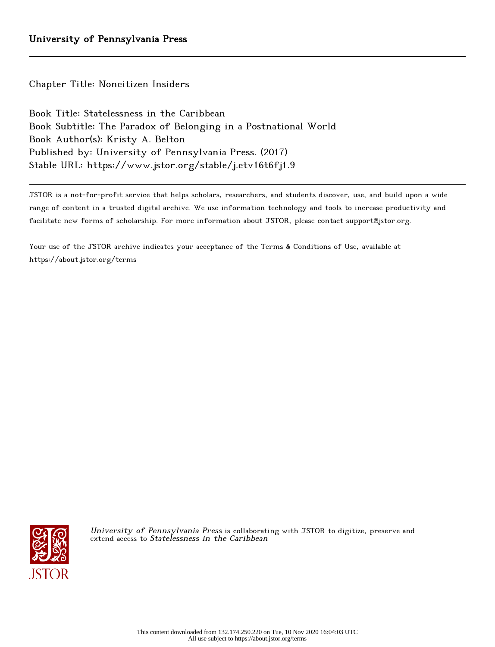Chapter Title: Noncitizen Insiders

Book Title: Statelessness in the Caribbean Book Subtitle: The Paradox of Belonging in a Postnational World Book Author(s): Kristy A. Belton Published by: University of Pennsylvania Press. (2017) Stable URL: https://www.jstor.org/stable/j.ctv16t6fj1.9

JSTOR is a not-for-profit service that helps scholars, researchers, and students discover, use, and build upon a wide range of content in a trusted digital archive. We use information technology and tools to increase productivity and facilitate new forms of scholarship. For more information about JSTOR, please contact support@jstor.org.

Your use of the JSTOR archive indicates your acceptance of the Terms & Conditions of Use, available at https://about.jstor.org/terms



University of Pennsylvania Press is collaborating with JSTOR to digitize, preserve and extend access to Statelessness in the Caribbean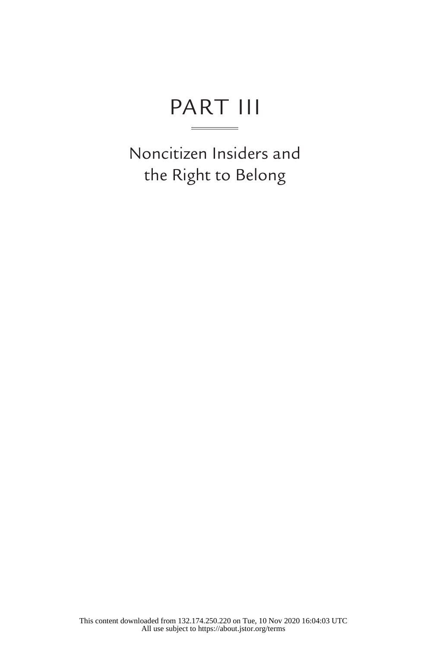# PART III

Noncitizen Insiders and the Right to Belong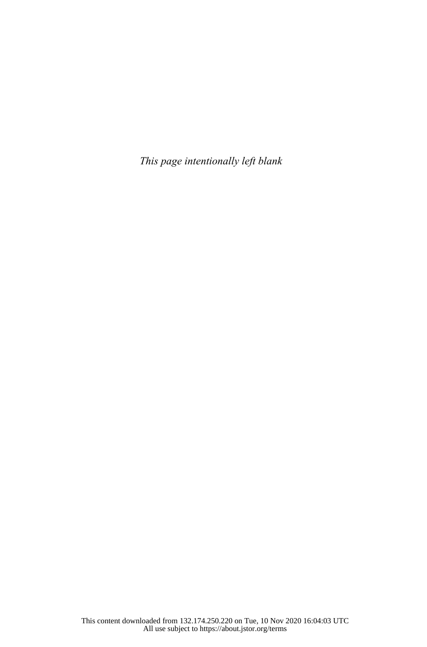*This page intentionally left blank*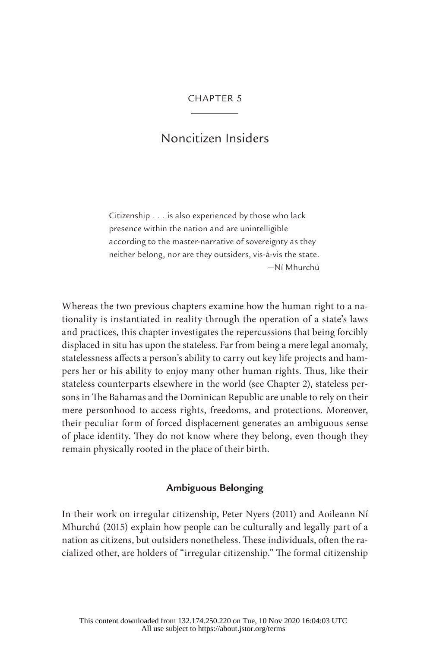# CHAPTER 5

# Noncitizen Insiders

Citizenship . . . is also experienced by those who lack presence within the nation and are unintelligible according to the master-narrative of sovereignty as they neither belong, nor are they outsiders, vis-à-vis the state. —Ní Mhurchú

Whereas the two previous chapters examine how the human right to a nationality is instantiated in reality through the operation of a state's laws and practices, this chapter investigates the repercussions that being forcibly displaced in situ has upon the stateless. Far from being a mere legal anomaly, statelessness affects a person's ability to carry out key life projects and hampers her or his ability to enjoy many other human rights. Thus, like their stateless counterparts elsewhere in the world (see Chapter 2), stateless persons in The Bahamas and the Dominican Republic are unable to rely on their mere personhood to access rights, freedoms, and protections. Moreover, their peculiar form of forced displacement generates an ambiguous sense of place identity. They do not know where they belong, even though they remain physically rooted in the place of their birth.

## **Ambiguous Belonging**

In their work on irregular citizenship, Peter Nyers (2011) and Aoileann Ní Mhurchú (2015) explain how people can be culturally and legally part of a nation as citizens, but outsiders nonetheless. These individuals, often the racialized other, are holders of "irregular citizenship." The formal citizenship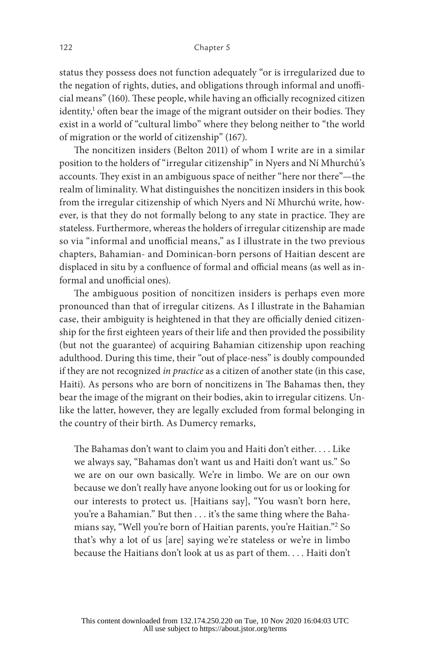status they possess does not function adequately "or is irregularized due to the negation of rights, duties, and obligations through informal and unofficial means" (160). These people, while having an officially recognized citizen identity,<sup>1</sup> often bear the image of the migrant outsider on their bodies. They exist in a world of "cultural limbo" where they belong neither to "the world of migration or the world of citizenship" (167).

The noncitizen insiders (Belton 2011) of whom I write are in a similar position to the holders of "irregular citizenship" in Nyers and Ní Mhurchú's accounts. They exist in an ambiguous space of neither "here nor there"—the realm of liminality. What distinguishes the noncitizen insiders in this book from the irregular citizenship of which Nyers and Ní Mhurchú write, however, is that they do not formally belong to any state in practice. They are stateless. Furthermore, whereas the holders of irregular citizenship are made so via "informal and unofficial means," as I illustrate in the two previous chapters, Bahamian- and Dominican-born persons of Haitian descent are displaced in situ by a confluence of formal and official means (as well as informal and unofficial ones).

The ambiguous position of noncitizen insiders is perhaps even more pronounced than that of irregular citizens. As I illustrate in the Bahamian case, their ambiguity is heightened in that they are officially denied citizenship for the first eighteen years of their life and then provided the possibility (but not the guarantee) of acquiring Bahamian citizenship upon reaching adulthood. During this time, their "out of place-ness" is doubly compounded if they are not recognized *in practice* as a citizen of another state (in this case, Haiti). As persons who are born of noncitizens in The Bahamas then, they bear the image of the migrant on their bodies, akin to irregular citizens. Unlike the latter, however, they are legally excluded from formal belonging in the country of their birth. As Dumercy remarks,

The Bahamas don't want to claim you and Haiti don't either. . . . Like we always say, "Bahamas don't want us and Haiti don't want us." So we are on our own basically. We're in limbo. We are on our own because we don't really have anyone looking out for us or looking for our interests to protect us. [Haitians say], "You wasn't born here, you're a Bahamian." But then . . . it's the same thing where the Bahamians say, "Well you're born of Haitian parents, you're Haitian."2 So that's why a lot of us [are] saying we're stateless or we're in limbo because the Haitians don't look at us as part of them. . . . Haiti don't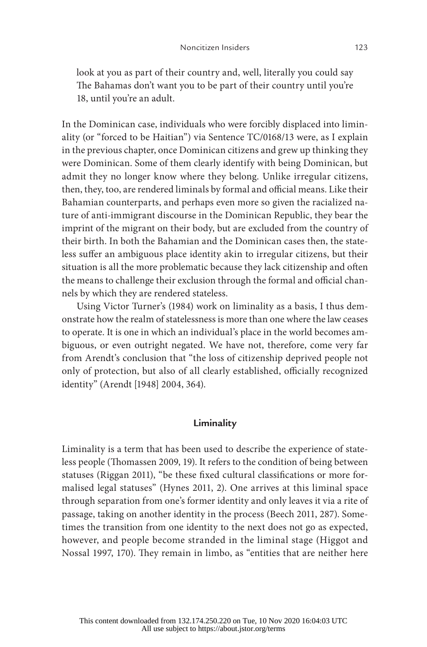look at you as part of their country and, well, literally you could say The Bahamas don't want you to be part of their country until you're 18, until you're an adult.

In the Dominican case, individuals who were forcibly displaced into liminality (or "forced to be Haitian") via Sentence TC/0168/13 were, as I explain in the previous chapter, once Dominican citizens and grew up thinking they were Dominican. Some of them clearly identify with being Dominican, but admit they no longer know where they belong. Unlike irregular citizens, then, they, too, are rendered liminals by formal and official means. Like their Bahamian counterparts, and perhaps even more so given the racialized nature of anti-immigrant discourse in the Dominican Republic, they bear the imprint of the migrant on their body, but are excluded from the country of their birth. In both the Bahamian and the Dominican cases then, the stateless suffer an ambiguous place identity akin to irregular citizens, but their situation is all the more problematic because they lack citizenship and often the means to challenge their exclusion through the formal and official channels by which they are rendered stateless.

Using Victor Turner's (1984) work on liminality as a basis, I thus demonstrate how the realm of statelessness is more than one where the law ceases to operate. It is one in which an individual's place in the world becomes ambiguous, or even outright negated. We have not, therefore, come very far from Arendt's conclusion that "the loss of citizenship deprived people not only of protection, but also of all clearly established, officially recognized identity" (Arendt [1948] 2004, 364).

#### **Liminality**

Liminality is a term that has been used to describe the experience of stateless people (Thomassen 2009, 19). It refers to the condition of being between statuses (Riggan 2011), "be these fixed cultural classifications or more formalised legal statuses" (Hynes 2011, 2). One arrives at this liminal space through separation from one's former identity and only leaves it via a rite of passage, taking on another identity in the process (Beech 2011, 287). Sometimes the transition from one identity to the next does not go as expected, however, and people become stranded in the liminal stage (Higgot and Nossal 1997, 170). They remain in limbo, as "entities that are neither here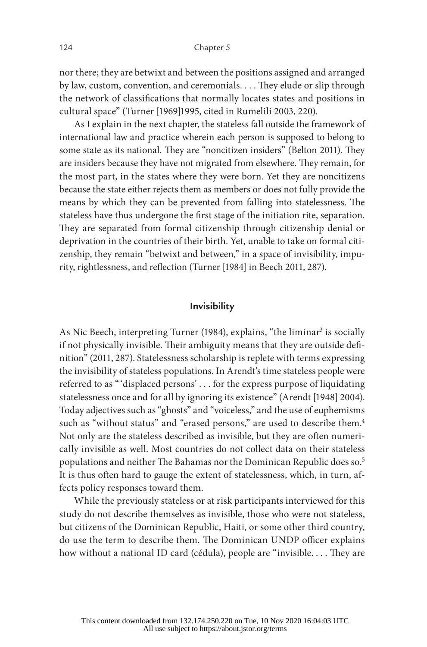nor there; they are betwixt and between the positions assigned and arranged by law, custom, convention, and ceremonials. . . . They elude or slip through the network of classifications that normally locates states and positions in cultural space" (Turner [1969]1995, cited in Rumelili 2003, 220).

As I explain in the next chapter, the stateless fall outside the framework of international law and practice wherein each person is supposed to belong to some state as its national. They are "noncitizen insiders" (Belton 2011). They are insiders because they have not migrated from elsewhere. They remain, for the most part, in the states where they were born. Yet they are noncitizens because the state either rejects them as members or does not fully provide the means by which they can be prevented from falling into statelessness. The stateless have thus undergone the first stage of the initiation rite, separation. They are separated from formal citizenship through citizenship denial or deprivation in the countries of their birth. Yet, unable to take on formal citizenship, they remain "betwixt and between," in a space of invisibility, impurity, rightlessness, and reflection (Turner [1984] in Beech 2011, 287).

#### **Invisibility**

As Nic Beech, interpreting Turner (1984), explains, "the liminar<sup>3</sup> is socially if not physically invisible. Their ambiguity means that they are outside definition" (2011, 287). Statelessness scholarship is replete with terms expressing the invisibility of stateless populations. In Arendt's time stateless people were referred to as "'displaced persons' . . . for the express purpose of liquidating statelessness once and for all by ignoring its existence" (Arendt [1948] 2004). Today adjectives such as "ghosts" and "voiceless," and the use of euphemisms such as "without status" and "erased persons," are used to describe them.<sup>4</sup> Not only are the stateless described as invisible, but they are often numerically invisible as well. Most countries do not collect data on their stateless populations and neither The Bahamas nor the Dominican Republic does so.5 It is thus often hard to gauge the extent of statelessness, which, in turn, affects policy responses toward them.

While the previously stateless or at risk participants interviewed for this study do not describe themselves as invisible, those who were not stateless, but citizens of the Dominican Republic, Haiti, or some other third country, do use the term to describe them. The Dominican UNDP officer explains how without a national ID card (cédula), people are "invisible. . . . They are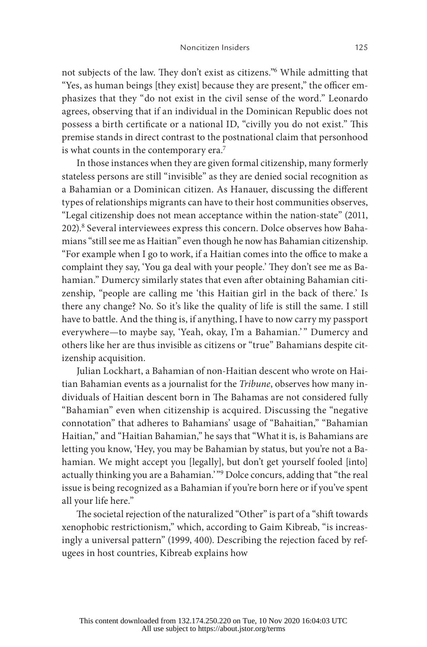not subjects of the law. They don't exist as citizens."6 While admitting that "Yes, as human beings [they exist] because they are present," the officer emphasizes that they "do not exist in the civil sense of the word." Leonardo agrees, observing that if an individual in the Dominican Republic does not possess a birth certificate or a national ID, "civilly you do not exist." This premise stands in direct contrast to the postnational claim that personhood is what counts in the contemporary era.7

In those instances when they are given formal citizenship, many formerly stateless persons are still "invisible" as they are denied social recognition as a Bahamian or a Dominican citizen. As Hanauer, discussing the different types of relationships migrants can have to their host communities observes, "Legal citizenship does not mean acceptance within the nation-state" (2011, 202).<sup>8</sup> Several interviewees express this concern. Dolce observes how Bahamians "still see me as Haitian" even though he now has Bahamian citizenship. "For example when I go to work, if a Haitian comes into the office to make a complaint they say, 'You ga deal with your people.' They don't see me as Bahamian." Dumercy similarly states that even after obtaining Bahamian citizenship, "people are calling me 'this Haitian girl in the back of there.' Is there any change? No. So it's like the quality of life is still the same. I still have to battle. And the thing is, if anything, I have to now carry my passport everywhere—to maybe say, 'Yeah, okay, I'm a Bahamian.' " Dumercy and others like her are thus invisible as citizens or "true" Bahamians despite citizenship acquisition.

Julian Lockhart, a Bahamian of non-Haitian descent who wrote on Haitian Bahamian events as a journalist for the *Tribune*, observes how many individuals of Haitian descent born in The Bahamas are not considered fully "Bahamian" even when citizenship is acquired. Discussing the "negative connotation" that adheres to Bahamians' usage of "Bahaitian," "Bahamian Haitian," and "Haitian Bahamian," he says that "What it is, is Bahamians are letting you know, 'Hey, you may be Bahamian by status, but you're not a Bahamian. We might accept you [legally], but don't get yourself fooled [into] actually thinking you are a Bahamian.' "9 Dolce concurs, adding that "the real issue is being recognized as a Bahamian if you're born here or if you've spent all your life here."

The societal rejection of the naturalized "Other" is part of a "shift towards xenophobic restrictionism," which, according to Gaim Kibreab, "is increasingly a universal pattern" (1999, 400). Describing the rejection faced by refugees in host countries, Kibreab explains how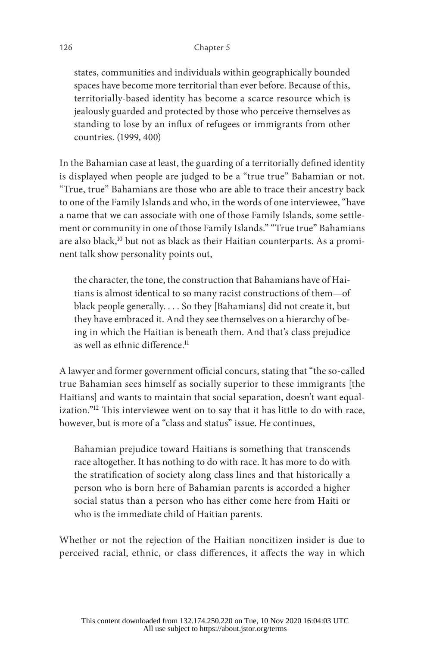states, communities and individuals within geographically bounded spaces have become more territorial than ever before. Because of this, territorially-based identity has become a scarce resource which is jealously guarded and protected by those who perceive themselves as standing to lose by an influx of refugees or immigrants from other countries. (1999, 400)

In the Bahamian case at least, the guarding of a territorially defined identity is displayed when people are judged to be a "true true" Bahamian or not. "True, true" Bahamians are those who are able to trace their ancestry back to one of the Family Islands and who, in the words of one interviewee, "have a name that we can associate with one of those Family Islands, some settlement or community in one of those Family Islands." "True true" Bahamians are also black,<sup>10</sup> but not as black as their Haitian counterparts. As a prominent talk show personality points out,

the character, the tone, the construction that Bahamians have of Haitians is almost identical to so many racist constructions of them—of black people generally. . . . So they [Bahamians] did not create it, but they have embraced it. And they see themselves on a hierarchy of being in which the Haitian is beneath them. And that's class prejudice as well as ethnic difference.<sup>11</sup>

A lawyer and former government official concurs, stating that "the so-called true Bahamian sees himself as socially superior to these immigrants [the Haitians] and wants to maintain that social separation, doesn't want equalization."<sup>12</sup> This interviewee went on to say that it has little to do with race, however, but is more of a "class and status" issue. He continues,

Bahamian prejudice toward Haitians is something that transcends race altogether. It has nothing to do with race. It has more to do with the stratification of society along class lines and that historically a person who is born here of Bahamian parents is accorded a higher social status than a person who has either come here from Haiti or who is the immediate child of Haitian parents.

Whether or not the rejection of the Haitian noncitizen insider is due to perceived racial, ethnic, or class differences, it affects the way in which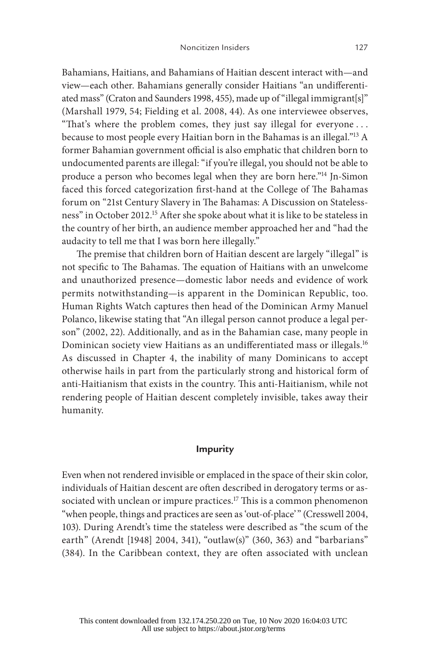Bahamians, Haitians, and Bahamians of Haitian descent interact with—and view—each other. Bahamians generally consider Haitians "an undifferentiated mass" (Craton and Saunders 1998, 455), made up of "illegal immigrant[s]" (Marshall 1979, 54; Fielding et al. 2008, 44). As one interviewee observes, "That's where the problem comes, they just say illegal for everyone . . . because to most people every Haitian born in the Bahamas is an illegal."13 A former Bahamian government official is also emphatic that children born to undocumented parents are illegal: "if you're illegal, you should not be able to produce a person who becomes legal when they are born here."14 Jn-Simon faced this forced categorization first-hand at the College of The Bahamas forum on "21st Century Slavery in The Bahamas: A Discussion on Statelessness" in October 2012.15 After she spoke about what it is like to be stateless in the country of her birth, an audience member approached her and "had the audacity to tell me that I was born here illegally."

The premise that children born of Haitian descent are largely "illegal" is not specific to The Bahamas. The equation of Haitians with an unwelcome and unauthorized presence—domestic labor needs and evidence of work permits notwithstanding—is apparent in the Dominican Republic, too. Human Rights Watch captures then head of the Dominican Army Manuel Polanco, likewise stating that "An illegal person cannot produce a legal person" (2002, 22). Additionally, and as in the Bahamian case, many people in Dominican society view Haitians as an undifferentiated mass or illegals.16 As discussed in Chapter 4, the inability of many Dominicans to accept otherwise hails in part from the particularly strong and historical form of anti-Haitianism that exists in the country. This anti-Haitianism, while not rendering people of Haitian descent completely invisible, takes away their humanity.

#### **Impurity**

Even when not rendered invisible or emplaced in the space of their skin color, individuals of Haitian descent are often described in derogatory terms or associated with unclean or impure practices.<sup>17</sup> This is a common phenomenon "when people, things and practices are seen as 'out-of-place' " (Cresswell 2004, 103). During Arendt's time the stateless were described as "the scum of the earth" (Arendt [1948] 2004, 341), "outlaw(s)" (360, 363) and "barbarians" (384). In the Caribbean context, they are often associated with unclean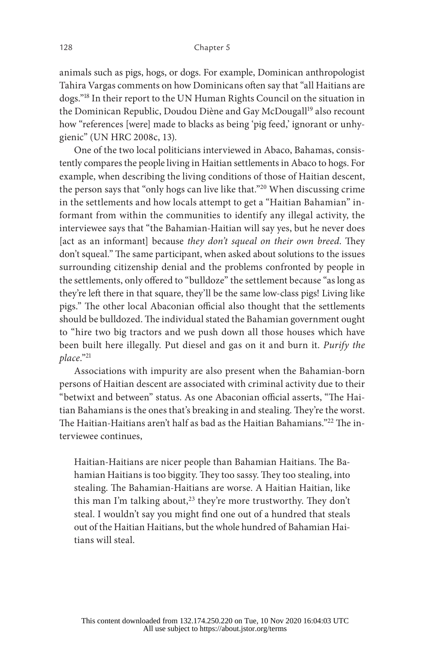animals such as pigs, hogs, or dogs. For example, Dominican anthropologist Tahira Vargas comments on how Dominicans often say that "all Haitians are dogs."18 In their report to the UN Human Rights Council on the situation in the Dominican Republic, Doudou Diène and Gay McDougall<sup>19</sup> also recount how "references [were] made to blacks as being 'pig feed,' ignorant or unhygienic" (UN HRC 2008c, 13).

One of the two local politicians interviewed in Abaco, Bahamas, consistently compares the people living in Haitian settlements in Abaco to hogs. For example, when describing the living conditions of those of Haitian descent, the person says that "only hogs can live like that."20 When discussing crime in the settlements and how locals attempt to get a "Haitian Bahamian" informant from within the communities to identify any illegal activity, the interviewee says that "the Bahamian-Haitian will say yes, but he never does [act as an informant] because *they don't squeal on their own breed*. They don't squeal." The same participant, when asked about solutions to the issues surrounding citizenship denial and the problems confronted by people in the settlements, only offered to "bulldoze" the settlement because "as long as they're left there in that square, they'll be the same low-class pigs! Living like pigs." The other local Abaconian official also thought that the settlements should be bulldozed. The individual stated the Bahamian government ought to "hire two big tractors and we push down all those houses which have been built here illegally. Put diesel and gas on it and burn it. *Purify the place*."21

Associations with impurity are also present when the Bahamian-born persons of Haitian descent are associated with criminal activity due to their "betwixt and between" status. As one Abaconian official asserts, "The Haitian Bahamians is the ones that's breaking in and stealing. They're the worst. The Haitian-Haitians aren't half as bad as the Haitian Bahamians."22 The interviewee continues,

Haitian-Haitians are nicer people than Bahamian Haitians. The Bahamian Haitians is too biggity. They too sassy. They too stealing, into stealing. The Bahamian-Haitians are worse. A Haitian Haitian, like this man I'm talking about, $23$  they're more trustworthy. They don't steal. I wouldn't say you might find one out of a hundred that steals out of the Haitian Haitians, but the whole hundred of Bahamian Haitians will steal.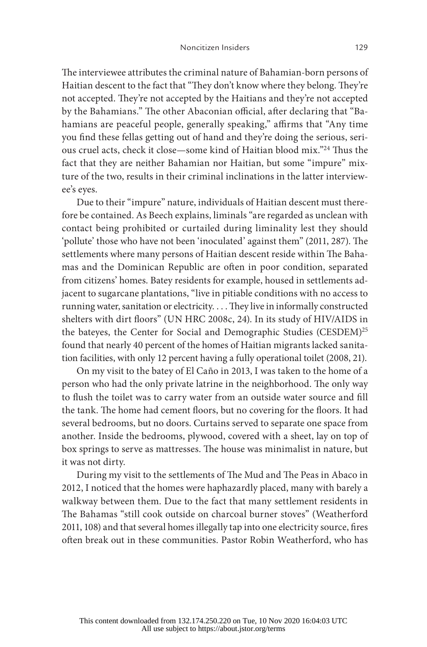The interviewee attributes the criminal nature of Bahamian-born persons of Haitian descent to the fact that "They don't know where they belong. They're not accepted. They're not accepted by the Haitians and they're not accepted by the Bahamians." The other Abaconian official, after declaring that "Bahamians are peaceful people, generally speaking," affirms that "Any time" you find these fellas getting out of hand and they're doing the serious, serious cruel acts, check it close—some kind of Haitian blood mix."24 Thus the fact that they are neither Bahamian nor Haitian, but some "impure" mixture of the two, results in their criminal inclinations in the latter interviewee's eyes.

Due to their "impure" nature, individuals of Haitian descent must therefore be contained. As Beech explains, liminals "are regarded as unclean with contact being prohibited or curtailed during liminality lest they should 'pollute' those who have not been 'inoculated' against them" (2011, 287). The settlements where many persons of Haitian descent reside within The Bahamas and the Dominican Republic are often in poor condition, separated from citizens' homes. Batey residents for example, housed in settlements adjacent to sugarcane plantations, "live in pitiable conditions with no access to running water, sanitation or electricity. . . . They live in informally constructed shelters with dirt floors" (UN HRC 2008c, 24). In its study of HIV/AIDS in the bateyes, the Center for Social and Demographic Studies (CESDEM)25 found that nearly 40 percent of the homes of Haitian migrants lacked sanitation facilities, with only 12 percent having a fully operational toilet (2008, 21).

On my visit to the batey of El Caño in 2013, I was taken to the home of a person who had the only private latrine in the neighborhood. The only way to flush the toilet was to carry water from an outside water source and fill the tank. The home had cement floors, but no covering for the floors. It had several bedrooms, but no doors. Curtains served to separate one space from another. Inside the bedrooms, plywood, covered with a sheet, lay on top of box springs to serve as mattresses. The house was minimalist in nature, but it was not dirty.

During my visit to the settlements of The Mud and The Peas in Abaco in 2012, I noticed that the homes were haphazardly placed, many with barely a walkway between them. Due to the fact that many settlement residents in The Bahamas "still cook outside on charcoal burner stoves" (Weatherford 2011, 108) and that several homes illegally tap into one electricity source, fires often break out in these communities. Pastor Robin Weatherford, who has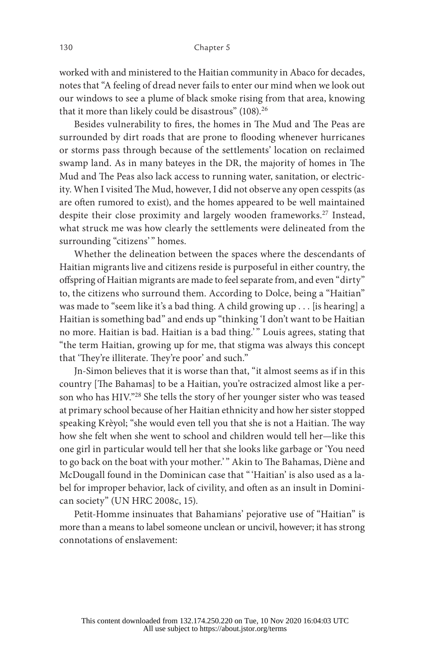worked with and ministered to the Haitian community in Abaco for decades, notes that "A feeling of dread never fails to enter our mind when we look out our windows to see a plume of black smoke rising from that area, knowing that it more than likely could be disastrous" (108).<sup>26</sup>

Besides vulnerability to fires, the homes in The Mud and The Peas are surrounded by dirt roads that are prone to flooding whenever hurricanes or storms pass through because of the settlements' location on reclaimed swamp land. As in many bateyes in the DR, the majority of homes in The Mud and The Peas also lack access to running water, sanitation, or electricity. When I visited The Mud, however, I did not observe any open cesspits (as are often rumored to exist), and the homes appeared to be well maintained despite their close proximity and largely wooden frameworks.<sup>27</sup> Instead, what struck me was how clearly the settlements were delineated from the surrounding "citizens'" homes.

Whether the delineation between the spaces where the descendants of Haitian migrants live and citizens reside is purposeful in either country, the offspring of Haitian migrants are made to feel separate from, and even "dirty" to, the citizens who surround them. According to Dolce, being a "Haitian" was made to "seem like it's a bad thing. A child growing up . . . [is hearing] a Haitian is something bad" and ends up "thinking 'I don't want to be Haitian no more. Haitian is bad. Haitian is a bad thing.' " Louis agrees, stating that "the term Haitian, growing up for me, that stigma was always this concept that 'They're illiterate. They're poor' and such."

Jn-Simon believes that it is worse than that, "it almost seems as if in this country [The Bahamas] to be a Haitian, you're ostracized almost like a person who has HIV."28 She tells the story of her younger sister who was teased at primary school because of her Haitian ethnicity and how her sister stopped speaking Krèyol; "she would even tell you that she is not a Haitian. The way how she felt when she went to school and children would tell her—like this one girl in particular would tell her that she looks like garbage or 'You need to go back on the boat with your mother.'" Akin to The Bahamas, Diène and McDougall found in the Dominican case that "'Haitian' is also used as a label for improper behavior, lack of civility, and often as an insult in Dominican society" (UN HRC 2008c, 15).

Petit-Homme insinuates that Bahamians' pejorative use of "Haitian" is more than a means to label someone unclean or uncivil, however; it has strong connotations of enslavement: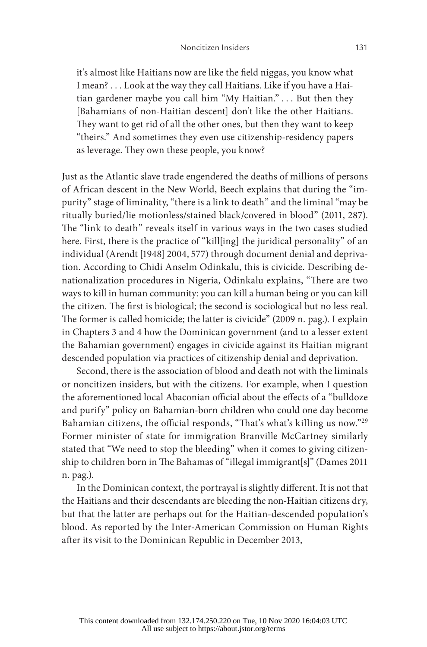it's almost like Haitians now are like the field niggas, you know what I mean? . . . Look at the way they call Haitians. Like if you have a Haitian gardener maybe you call him "My Haitian." . . . But then they [Bahamians of non-Haitian descent] don't like the other Haitians. They want to get rid of all the other ones, but then they want to keep "theirs." And sometimes they even use citizenship-residency papers as leverage. They own these people, you know?

Just as the Atlantic slave trade engendered the deaths of millions of persons of African descent in the New World, Beech explains that during the "impurity" stage of liminality, "there is a link to death" and the liminal "may be ritually buried/lie motionless/stained black/covered in blood" (2011, 287). The "link to death" reveals itself in various ways in the two cases studied here. First, there is the practice of "kill[ing] the juridical personality" of an individual (Arendt [1948] 2004, 577) through document denial and deprivation. According to Chidi Anselm Odinkalu, this is civicide. Describing denationalization procedures in Nigeria, Odinkalu explains, "There are two ways to kill in human community: you can kill a human being or you can kill the citizen. The first is biological; the second is sociological but no less real. The former is called homicide; the latter is civicide" (2009 n. pag.). I explain in Chapters 3 and 4 how the Dominican government (and to a lesser extent the Bahamian government) engages in civicide against its Haitian migrant descended population via practices of citizenship denial and deprivation.

Second, there is the association of blood and death not with the liminals or noncitizen insiders, but with the citizens. For example, when I question the aforementioned local Abaconian official about the effects of a "bulldoze and purify" policy on Bahamian-born children who could one day become Bahamian citizens, the official responds, "That's what's killing us now."29 Former minister of state for immigration Branville McCartney similarly stated that "We need to stop the bleeding" when it comes to giving citizenship to children born in The Bahamas of "illegal immigrant[s]" (Dames 2011 n. pag.).

In the Dominican context, the portrayal is slightly different. It is not that the Haitians and their descendants are bleeding the non-Haitian citizens dry, but that the latter are perhaps out for the Haitian-descended population's blood. As reported by the Inter-American Commission on Human Rights after its visit to the Dominican Republic in December 2013,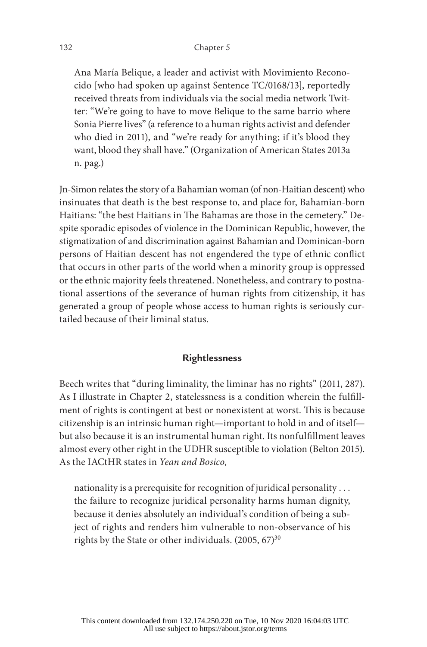Ana María Belique, a leader and activist with Movimiento Reconocido [who had spoken up against Sentence TC/0168/13], reportedly received threats from individuals via the social media network Twitter: "We're going to have to move Belique to the same barrio where Sonia Pierre lives" (a reference to a human rights activist and defender who died in 2011), and "we're ready for anything; if it's blood they want, blood they shall have." (Organization of American States 2013a n. pag.)

Jn-Simon relates the story of a Bahamian woman (of non-Haitian descent) who insinuates that death is the best response to, and place for, Bahamian-born Haitians: "the best Haitians in The Bahamas are those in the cemetery." Despite sporadic episodes of violence in the Dominican Republic, however, the stigmatization of and discrimination against Bahamian and Dominican-born persons of Haitian descent has not engendered the type of ethnic conflict that occurs in other parts of the world when a minority group is oppressed or the ethnic majority feels threatened. Nonetheless, and contrary to postnational assertions of the severance of human rights from citizenship, it has generated a group of people whose access to human rights is seriously curtailed because of their liminal status.

# **Rightlessness**

Beech writes that "during liminality, the liminar has no rights" (2011, 287). As I illustrate in Chapter 2, statelessness is a condition wherein the fulfillment of rights is contingent at best or nonexistent at worst. This is because citizenship is an intrinsic human right—important to hold in and of itself but also because it is an instrumental human right. Its nonfulfillment leaves almost every other right in the UDHR susceptible to violation (Belton 2015). As the IACtHR states in *Yean and Bosico*,

nationality is a prerequisite for recognition of juridical personality . . . the failure to recognize juridical personality harms human dignity, because it denies absolutely an individual's condition of being a subject of rights and renders him vulnerable to non-observance of his rights by the State or other individuals. (2005, 67)<sup>30</sup>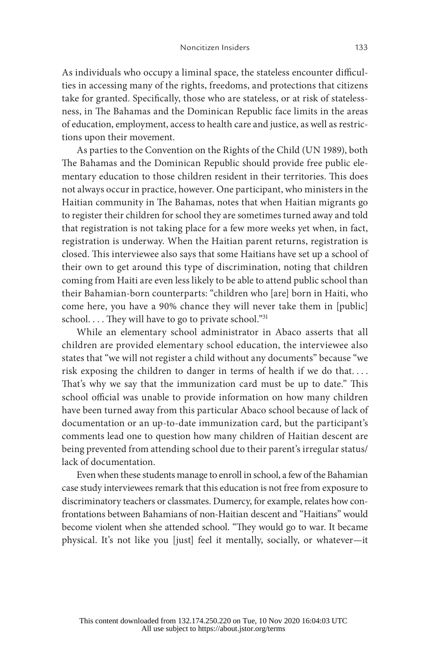As individuals who occupy a liminal space, the stateless encounter difficulties in accessing many of the rights, freedoms, and protections that citizens take for granted. Specifically, those who are stateless, or at risk of statelessness, in The Bahamas and the Dominican Republic face limits in the areas of education, employment, access to health care and justice, as well as restrictions upon their movement.

As parties to the Convention on the Rights of the Child (UN 1989), both The Bahamas and the Dominican Republic should provide free public elementary education to those children resident in their territories. This does not always occur in practice, however. One participant, who ministers in the Haitian community in The Bahamas, notes that when Haitian migrants go to register their children for school they are sometimes turned away and told that registration is not taking place for a few more weeks yet when, in fact, registration is underway. When the Haitian parent returns, registration is closed. This interviewee also says that some Haitians have set up a school of their own to get around this type of discrimination, noting that children coming from Haiti are even less likely to be able to attend public school than their Bahamian-born counterparts: "children who [are] born in Haiti, who come here, you have a 90% chance they will never take them in [public] school. . . . They will have to go to private school."31

While an elementary school administrator in Abaco asserts that all children are provided elementary school education, the interviewee also states that "we will not register a child without any documents" because "we risk exposing the children to danger in terms of health if we do that.... That's why we say that the immunization card must be up to date." This school official was unable to provide information on how many children have been turned away from this particular Abaco school because of lack of documentation or an up-to-date immunization card, but the participant's comments lead one to question how many children of Haitian descent are being prevented from attending school due to their parent's irregular status/ lack of documentation.

Even when these students manage to enroll in school, a few of the Bahamian case study interviewees remark that this education is not free from exposure to discriminatory teachers or classmates. Dumercy, for example, relates how confrontations between Bahamians of non-Haitian descent and "Haitians" would become violent when she attended school. "They would go to war. It became physical. It's not like you [just] feel it mentally, socially, or whatever—it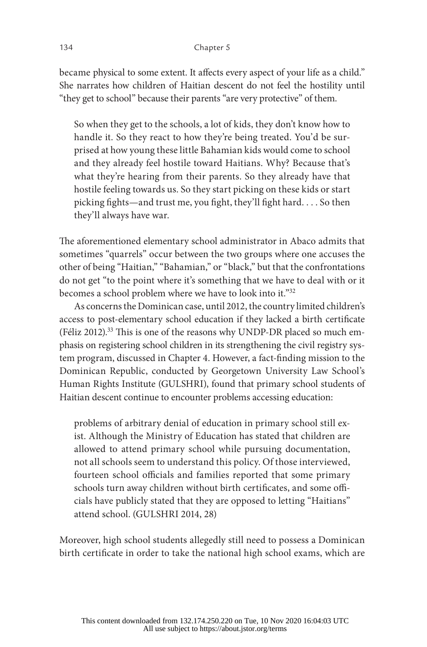became physical to some extent. It affects every aspect of your life as a child." She narrates how children of Haitian descent do not feel the hostility until "they get to school" because their parents "are very protective" of them.

So when they get to the schools, a lot of kids, they don't know how to handle it. So they react to how they're being treated. You'd be surprised at how young these little Bahamian kids would come to school and they already feel hostile toward Haitians. Why? Because that's what they're hearing from their parents. So they already have that hostile feeling towards us. So they start picking on these kids or start picking fights—and trust me, you fight, they'll fight hard. . . . So then they'll always have war.

The aforementioned elementary school administrator in Abaco admits that sometimes "quarrels" occur between the two groups where one accuses the other of being "Haitian," "Bahamian," or "black," but that the confrontations do not get "to the point where it's something that we have to deal with or it becomes a school problem where we have to look into it."32

As concerns the Dominican case, until 2012, the country limited children's access to post-elementary school education if they lacked a birth certificate (Féliz 2012).33 This is one of the reasons why UNDP-DR placed so much emphasis on registering school children in its strengthening the civil registry system program, discussed in Chapter 4. However, a fact-finding mission to the Dominican Republic, conducted by Georgetown University Law School's Human Rights Institute (GULSHRI), found that primary school students of Haitian descent continue to encounter problems accessing education:

problems of arbitrary denial of education in primary school still exist. Although the Ministry of Education has stated that children are allowed to attend primary school while pursuing documentation, not all schools seem to understand this policy. Of those interviewed, fourteen school officials and families reported that some primary schools turn away children without birth certificates, and some officials have publicly stated that they are opposed to letting "Haitians" attend school. (GULSHRI 2014, 28)

Moreover, high school students allegedly still need to possess a Dominican birth certificate in order to take the national high school exams, which are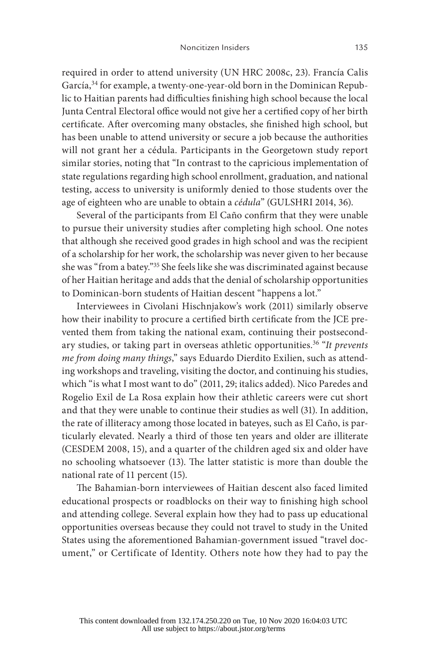required in order to attend university (UN HRC 2008c, 23). Francía Calis García,<sup>34</sup> for example, a twenty-one-year-old born in the Dominican Republic to Haitian parents had difficulties finishing high school because the local Junta Central Electoral office would not give her a certified copy of her birth certificate. After overcoming many obstacles, she finished high school, but has been unable to attend university or secure a job because the authorities will not grant her a cédula. Participants in the Georgetown study report similar stories, noting that "In contrast to the capricious implementation of state regulations regarding high school enrollment, graduation, and national testing, access to university is uniformly denied to those students over the age of eighteen who are unable to obtain a *cédula*" (GULSHRI 2014, 36).

Several of the participants from El Caño confirm that they were unable to pursue their university studies after completing high school. One notes that although she received good grades in high school and was the recipient of a scholarship for her work, the scholarship was never given to her because she was "from a batey."35 She feels like she was discriminated against because of her Haitian heritage and adds that the denial of scholarship opportunities to Dominican-born students of Haitian descent "happens a lot."

Interviewees in Civolani Hischnjakow's work (2011) similarly observe how their inability to procure a certified birth certificate from the JCE prevented them from taking the national exam, continuing their postsecondary studies, or taking part in overseas athletic opportunities.36 "*It prevents me from doing many things*," says Eduardo Dierdito Exilien, such as attending workshops and traveling, visiting the doctor, and continuing his studies, which "is what I most want to do" (2011, 29; italics added). Nico Paredes and Rogelio Exil de La Rosa explain how their athletic careers were cut short and that they were unable to continue their studies as well (31). In addition, the rate of illiteracy among those located in bateyes, such as El Caño, is particularly elevated. Nearly a third of those ten years and older are illiterate (CESDEM 2008, 15), and a quarter of the children aged six and older have no schooling whatsoever (13). The latter statistic is more than double the national rate of 11 percent (15).

The Bahamian-born interviewees of Haitian descent also faced limited educational prospects or roadblocks on their way to finishing high school and attending college. Several explain how they had to pass up educational opportunities overseas because they could not travel to study in the United States using the aforementioned Bahamian-government issued "travel document," or Certificate of Identity. Others note how they had to pay the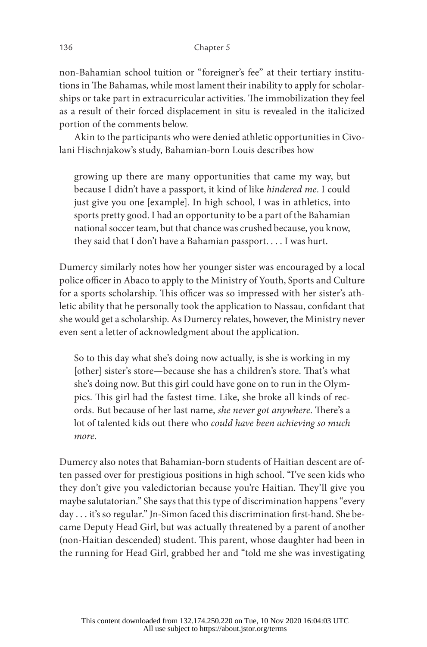non-Bahamian school tuition or "foreigner's fee" at their tertiary institutions in The Bahamas, while most lament their inability to apply for scholarships or take part in extracurricular activities. The immobilization they feel as a result of their forced displacement in situ is revealed in the italicized portion of the comments below.

Akin to the participants who were denied athletic opportunities in Civolani Hischnjakow's study, Bahamian-born Louis describes how

growing up there are many opportunities that came my way, but because I didn't have a passport, it kind of like *hindered me*. I could just give you one [example]. In high school, I was in athletics, into sports pretty good. I had an opportunity to be a part of the Bahamian national soccer team, but that chance was crushed because, you know, they said that I don't have a Bahamian passport. . . . I was hurt.

Dumercy similarly notes how her younger sister was encouraged by a local police officer in Abaco to apply to the Ministry of Youth, Sports and Culture for a sports scholarship. This officer was so impressed with her sister's athletic ability that he personally took the application to Nassau, confidant that she would get a scholarship. As Dumercy relates, however, the Ministry never even sent a letter of acknowledgment about the application.

So to this day what she's doing now actually, is she is working in my [other] sister's store—because she has a children's store. That's what she's doing now. But this girl could have gone on to run in the Olympics. This girl had the fastest time. Like, she broke all kinds of records. But because of her last name, *she never got anywhere*. There's a lot of talented kids out there who *could have been achieving so much more*.

Dumercy also notes that Bahamian-born students of Haitian descent are often passed over for prestigious positions in high school. "I've seen kids who they don't give you valedictorian because you're Haitian. They'll give you maybe salutatorian." She says that this type of discrimination happens "every day . . . it's so regular." Jn-Simon faced this discrimination first-hand. She became Deputy Head Girl, but was actually threatened by a parent of another (non-Haitian descended) student. This parent, whose daughter had been in the running for Head Girl, grabbed her and "told me she was investigating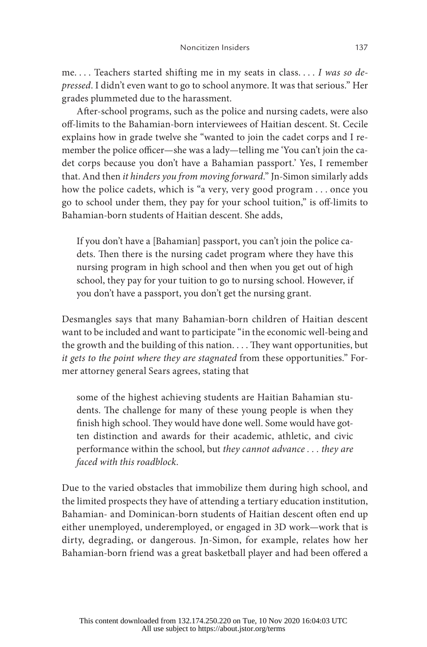me. . . . Teachers started shifting me in my seats in class. . . . *I was so depressed*. I didn't even want to go to school anymore. It was that serious." Her grades plummeted due to the harassment.

After-school programs, such as the police and nursing cadets, were also off-limits to the Bahamian-born interviewees of Haitian descent. St. Cecile explains how in grade twelve she "wanted to join the cadet corps and I remember the police officer—she was a lady—telling me 'You can't join the cadet corps because you don't have a Bahamian passport.' Yes, I remember that. And then *it hinders you from moving forward*." Jn-Simon similarly adds how the police cadets, which is "a very, very good program . . . once you go to school under them, they pay for your school tuition," is off-limits to Bahamian-born students of Haitian descent. She adds,

If you don't have a [Bahamian] passport, you can't join the police cadets. Then there is the nursing cadet program where they have this nursing program in high school and then when you get out of high school, they pay for your tuition to go to nursing school. However, if you don't have a passport, you don't get the nursing grant.

Desmangles says that many Bahamian-born children of Haitian descent want to be included and want to participate "in the economic well-being and the growth and the building of this nation. . . . They want opportunities, but *it gets to the point where they are stagnated* from these opportunities." Former attorney general Sears agrees, stating that

some of the highest achieving students are Haitian Bahamian students. The challenge for many of these young people is when they finish high school. They would have done well. Some would have gotten distinction and awards for their academic, athletic, and civic performance within the school, but *they cannot advance . . . they are faced with this roadblock*.

Due to the varied obstacles that immobilize them during high school, and the limited prospects they have of attending a tertiary education institution, Bahamian- and Dominican-born students of Haitian descent often end up either unemployed, underemployed, or engaged in 3D work—work that is dirty, degrading, or dangerous. Jn-Simon, for example, relates how her Bahamian-born friend was a great basketball player and had been offered a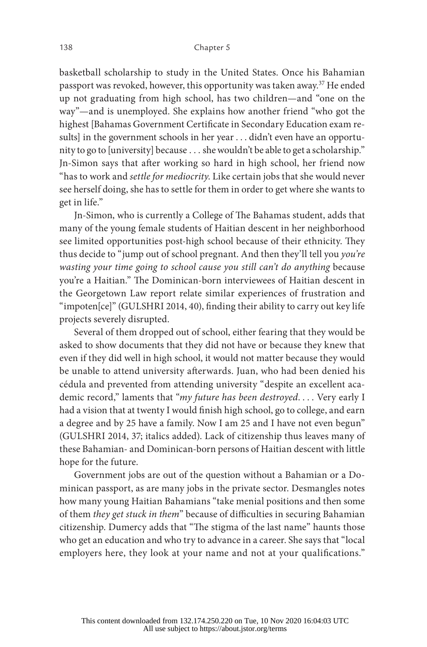basketball scholarship to study in the United States. Once his Bahamian passport was revoked, however, this opportunity was taken away.37 He ended up not graduating from high school, has two children—and "one on the way"—and is unemployed. She explains how another friend "who got the highest [Bahamas Government Certificate in Secondary Education exam results] in the government schools in her year . . . didn't even have an opportunity to go to [university] because . . . she wouldn't be able to get a scholarship." Jn-Simon says that after working so hard in high school, her friend now "has to work and *settle for mediocrity*. Like certain jobs that she would never see herself doing, she has to settle for them in order to get where she wants to get in life."

Jn-Simon, who is currently a College of The Bahamas student, adds that many of the young female students of Haitian descent in her neighborhood see limited opportunities post-high school because of their ethnicity. They thus decide to "jump out of school pregnant. And then they'll tell you *you're wasting your time going to school cause you still can't do anything* because you're a Haitian." The Dominican-born interviewees of Haitian descent in the Georgetown Law report relate similar experiences of frustration and "impoten[ce]" (GULSHRI 2014, 40), finding their ability to carry out key life projects severely disrupted.

Several of them dropped out of school, either fearing that they would be asked to show documents that they did not have or because they knew that even if they did well in high school, it would not matter because they would be unable to attend university afterwards. Juan, who had been denied his cédula and prevented from attending university "despite an excellent academic record," laments that "*my future has been destroyed*. . . . Very early I had a vision that at twenty I would finish high school, go to college, and earn a degree and by 25 have a family. Now I am 25 and I have not even begun" (GULSHRI 2014, 37; italics added). Lack of citizenship thus leaves many of these Bahamian- and Dominican-born persons of Haitian descent with little hope for the future.

Government jobs are out of the question without a Bahamian or a Dominican passport, as are many jobs in the private sector. Desmangles notes how many young Haitian Bahamians "take menial positions and then some of them *they get stuck in them*" because of difficulties in securing Bahamian citizenship. Dumercy adds that "The stigma of the last name" haunts those who get an education and who try to advance in a career. She says that "local employers here, they look at your name and not at your qualifications."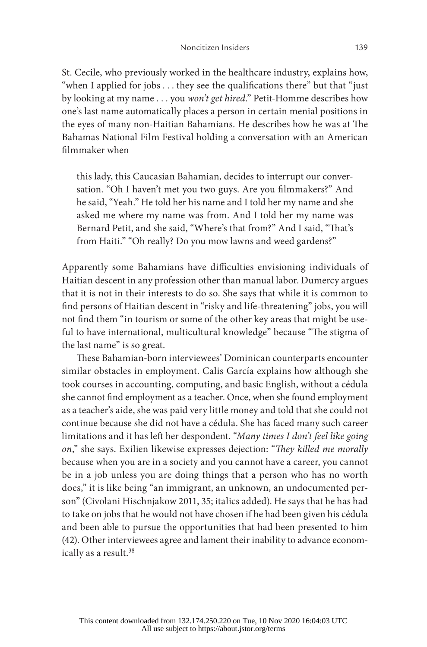St. Cecile, who previously worked in the healthcare industry, explains how, "when I applied for jobs . . . they see the qualifications there" but that "just by looking at my name . . . you *won't get hired*." Petit-Homme describes how one's last name automatically places a person in certain menial positions in the eyes of many non-Haitian Bahamians. He describes how he was at The Bahamas National Film Festival holding a conversation with an American filmmaker when

this lady, this Caucasian Bahamian, decides to interrupt our conversation. "Oh I haven't met you two guys. Are you filmmakers?" And he said, "Yeah." He told her his name and I told her my name and she asked me where my name was from. And I told her my name was Bernard Petit, and she said, "Where's that from?" And I said, "That's from Haiti." "Oh really? Do you mow lawns and weed gardens?"

Apparently some Bahamians have difficulties envisioning individuals of Haitian descent in any profession other than manual labor. Dumercy argues that it is not in their interests to do so. She says that while it is common to find persons of Haitian descent in "risky and life-threatening" jobs, you will not find them "in tourism or some of the other key areas that might be useful to have international, multicultural knowledge" because "The stigma of the last name" is so great.

These Bahamian-born interviewees' Dominican counterparts encounter similar obstacles in employment. Calis García explains how although she took courses in accounting, computing, and basic English, without a cédula she cannot find employment as a teacher. Once, when she found employment as a teacher's aide, she was paid very little money and told that she could not continue because she did not have a cédula. She has faced many such career limitations and it has left her despondent. "*Many times I don't feel like going on*," she says. Exilien likewise expresses dejection: "*They killed me morally* because when you are in a society and you cannot have a career, you cannot be in a job unless you are doing things that a person who has no worth does," it is like being "an immigrant, an unknown, an undocumented person" (Civolani Hischnjakow 2011, 35; italics added). He says that he has had to take on jobs that he would not have chosen if he had been given his cédula and been able to pursue the opportunities that had been presented to him (42). Other interviewees agree and lament their inability to advance economically as a result.<sup>38</sup>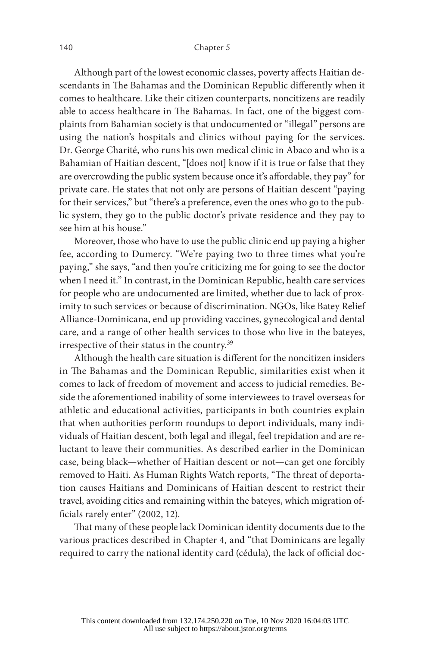Although part of the lowest economic classes, poverty affects Haitian descendants in The Bahamas and the Dominican Republic differently when it comes to healthcare. Like their citizen counterparts, noncitizens are readily able to access healthcare in The Bahamas. In fact, one of the biggest complaints from Bahamian society is that undocumented or "illegal" persons are using the nation's hospitals and clinics without paying for the services. Dr. George Charité, who runs his own medical clinic in Abaco and who is a Bahamian of Haitian descent, "[does not] know if it is true or false that they are overcrowding the public system because once it's affordable, they pay" for private care. He states that not only are persons of Haitian descent "paying for their services," but "there's a preference, even the ones who go to the public system, they go to the public doctor's private residence and they pay to see him at his house."

Moreover, those who have to use the public clinic end up paying a higher fee, according to Dumercy. "We're paying two to three times what you're paying," she says, "and then you're criticizing me for going to see the doctor when I need it." In contrast, in the Dominican Republic, health care services for people who are undocumented are limited, whether due to lack of proximity to such services or because of discrimination. NGOs, like Batey Relief Alliance-Dominicana, end up providing vaccines, gynecological and dental care, and a range of other health services to those who live in the bateyes, irrespective of their status in the country.<sup>39</sup>

Although the health care situation is different for the noncitizen insiders in The Bahamas and the Dominican Republic, similarities exist when it comes to lack of freedom of movement and access to judicial remedies. Beside the aforementioned inability of some interviewees to travel overseas for athletic and educational activities, participants in both countries explain that when authorities perform roundups to deport individuals, many individuals of Haitian descent, both legal and illegal, feel trepidation and are reluctant to leave their communities. As described earlier in the Dominican case, being black—whether of Haitian descent or not—can get one forcibly removed to Haiti. As Human Rights Watch reports, "The threat of deportation causes Haitians and Dominicans of Haitian descent to restrict their travel, avoiding cities and remaining within the bateyes, which migration officials rarely enter" (2002, 12).

That many of these people lack Dominican identity documents due to the various practices described in Chapter 4, and "that Dominicans are legally required to carry the national identity card (cédula), the lack of official doc-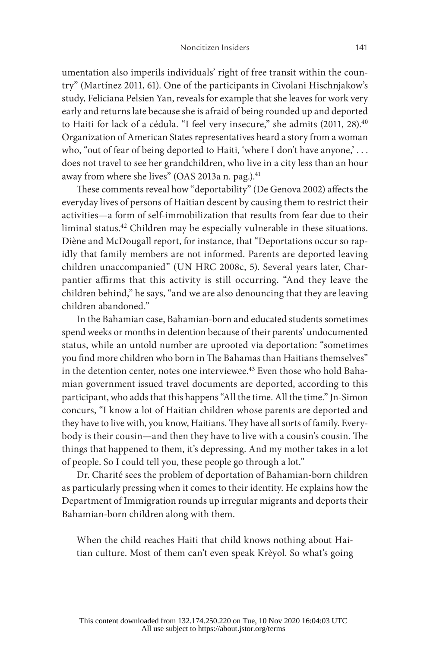umentation also imperils individuals' right of free transit within the country" (Martínez 2011, 61). One of the participants in Civolani Hischnjakow's study, Feliciana Pelsien Yan, reveals for example that she leaves for work very early and returns late because she is afraid of being rounded up and deported to Haiti for lack of a cédula. "I feel very insecure," she admits (2011, 28).<sup>40</sup> Organization of American States representatives heard a story from a woman who, "out of fear of being deported to Haiti, 'where I don't have anyone,'... does not travel to see her grandchildren, who live in a city less than an hour away from where she lives" (OAS 2013a n. pag.).<sup>41</sup>

These comments reveal how "deportability" (De Genova 2002) affects the everyday lives of persons of Haitian descent by causing them to restrict their activities—a form of self-immobilization that results from fear due to their liminal status.42 Children may be especially vulnerable in these situations. Diène and McDougall report, for instance, that "Deportations occur so rapidly that family members are not informed. Parents are deported leaving children unaccompanied" (UN HRC 2008c, 5). Several years later, Charpantier affirms that this activity is still occurring. "And they leave the children behind," he says, "and we are also denouncing that they are leaving children abandoned."

In the Bahamian case, Bahamian-born and educated students sometimes spend weeks or months in detention because of their parents' undocumented status, while an untold number are uprooted via deportation: "sometimes you find more children who born in The Bahamas than Haitians themselves" in the detention center, notes one interviewee.<sup>43</sup> Even those who hold Bahamian government issued travel documents are deported, according to this participant, who adds that this happens "All the time. All the time." Jn-Simon concurs, "I know a lot of Haitian children whose parents are deported and they have to live with, you know, Haitians. They have all sorts of family. Everybody is their cousin—and then they have to live with a cousin's cousin. The things that happened to them, it's depressing. And my mother takes in a lot of people. So I could tell you, these people go through a lot."

Dr. Charité sees the problem of deportation of Bahamian-born children as particularly pressing when it comes to their identity. He explains how the Department of Immigration rounds up irregular migrants and deports their Bahamian-born children along with them.

When the child reaches Haiti that child knows nothing about Haitian culture. Most of them can't even speak Krèyol. So what's going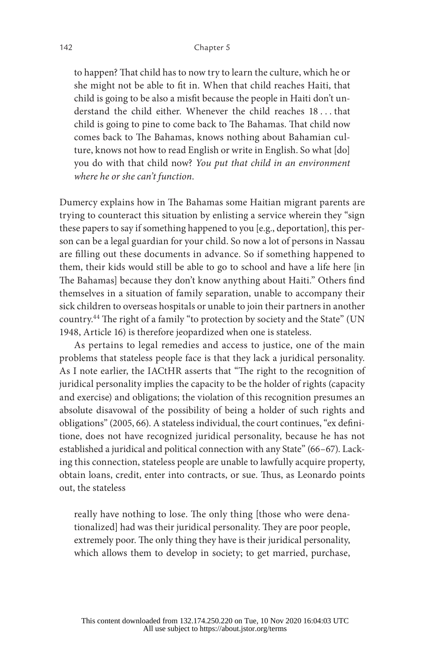to happen? That child has to now try to learn the culture, which he or she might not be able to fit in. When that child reaches Haiti, that child is going to be also a misfit because the people in Haiti don't understand the child either. Whenever the child reaches 18 . . . that child is going to pine to come back to The Bahamas. That child now comes back to The Bahamas, knows nothing about Bahamian culture, knows not how to read English or write in English. So what [do] you do with that child now? *You put that child in an environment where he or she can't function*.

Dumercy explains how in The Bahamas some Haitian migrant parents are trying to counteract this situation by enlisting a service wherein they "sign these papers to say if something happened to you [e.g., deportation], this person can be a legal guardian for your child. So now a lot of persons in Nassau are filling out these documents in advance. So if something happened to them, their kids would still be able to go to school and have a life here [in The Bahamas] because they don't know anything about Haiti." Others find themselves in a situation of family separation, unable to accompany their sick children to overseas hospitals or unable to join their partners in another country.44 The right of a family "to protection by society and the State" (UN 1948, Article 16) is therefore jeopardized when one is stateless.

As pertains to legal remedies and access to justice, one of the main problems that stateless people face is that they lack a juridical personality. As I note earlier, the IACtHR asserts that "The right to the recognition of juridical personality implies the capacity to be the holder of rights (capacity and exercise) and obligations; the violation of this recognition presumes an absolute disavowal of the possibility of being a holder of such rights and obligations" (2005, 66). A stateless individual, the court continues, "ex definitione, does not have recognized juridical personality, because he has not established a juridical and political connection with any State" (66–67). Lacking this connection, stateless people are unable to lawfully acquire property, obtain loans, credit, enter into contracts, or sue. Thus, as Leonardo points out, the stateless

really have nothing to lose. The only thing [those who were denationalized] had was their juridical personality. They are poor people, extremely poor. The only thing they have is their juridical personality, which allows them to develop in society; to get married, purchase,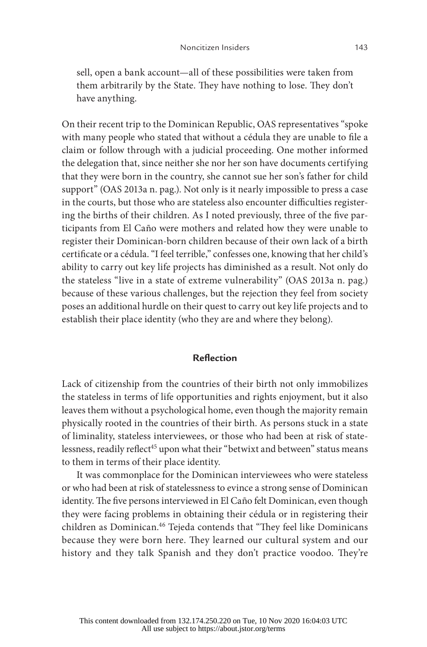sell, open a bank account—all of these possibilities were taken from them arbitrarily by the State. They have nothing to lose. They don't have anything.

On their recent trip to the Dominican Republic, OAS representatives "spoke with many people who stated that without a cédula they are unable to file a claim or follow through with a judicial proceeding. One mother informed the delegation that, since neither she nor her son have documents certifying that they were born in the country, she cannot sue her son's father for child support" (OAS 2013a n. pag.). Not only is it nearly impossible to press a case in the courts, but those who are stateless also encounter difficulties registering the births of their children. As I noted previously, three of the five participants from El Caño were mothers and related how they were unable to register their Dominican-born children because of their own lack of a birth certificate or a cédula. "I feel terrible," confesses one, knowing that her child's ability to carry out key life projects has diminished as a result. Not only do the stateless "live in a state of extreme vulnerability" (OAS 2013a n. pag.) because of these various challenges, but the rejection they feel from society poses an additional hurdle on their quest to carry out key life projects and to establish their place identity (who they are and where they belong).

### **Reflection**

Lack of citizenship from the countries of their birth not only immobilizes the stateless in terms of life opportunities and rights enjoyment, but it also leaves them without a psychological home, even though the majority remain physically rooted in the countries of their birth. As persons stuck in a state of liminality, stateless interviewees, or those who had been at risk of statelessness, readily reflect<sup>45</sup> upon what their "betwixt and between" status means to them in terms of their place identity.

It was commonplace for the Dominican interviewees who were stateless or who had been at risk of statelessness to evince a strong sense of Dominican identity. The five persons interviewed in El Caño felt Dominican, even though they were facing problems in obtaining their cédula or in registering their children as Dominican.46 Tejeda contends that "They feel like Dominicans because they were born here. They learned our cultural system and our history and they talk Spanish and they don't practice voodoo. They're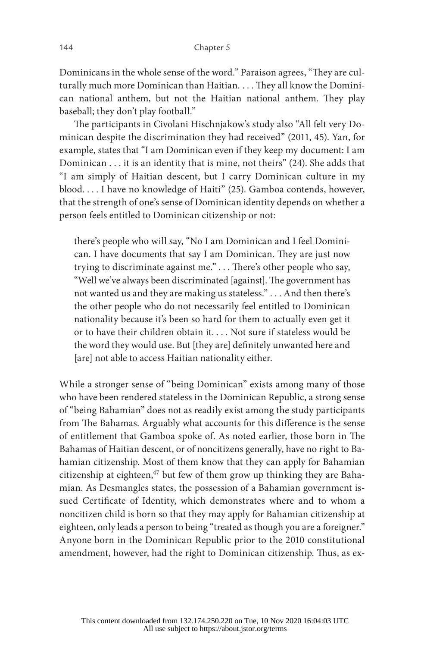Dominicans in the whole sense of the word." Paraison agrees, "They are culturally much more Dominican than Haitian. . . . They all know the Dominican national anthem, but not the Haitian national anthem. They play baseball; they don't play football."

The participants in Civolani Hischnjakow's study also "All felt very Dominican despite the discrimination they had received" (2011, 45). Yan, for example, states that "I am Dominican even if they keep my document: I am Dominican . . . it is an identity that is mine, not theirs" (24). She adds that "I am simply of Haitian descent, but I carry Dominican culture in my blood. . . . I have no knowledge of Haiti" (25). Gamboa contends, however, that the strength of one's sense of Dominican identity depends on whether a person feels entitled to Dominican citizenship or not:

there's people who will say, "No I am Dominican and I feel Dominican. I have documents that say I am Dominican. They are just now trying to discriminate against me." . . . There's other people who say, "Well we've always been discriminated [against]. The government has not wanted us and they are making us stateless." . . . And then there's the other people who do not necessarily feel entitled to Dominican nationality because it's been so hard for them to actually even get it or to have their children obtain it. . . . Not sure if stateless would be the word they would use. But [they are] definitely unwanted here and [are] not able to access Haitian nationality either.

While a stronger sense of "being Dominican" exists among many of those who have been rendered stateless in the Dominican Republic, a strong sense of "being Bahamian" does not as readily exist among the study participants from The Bahamas. Arguably what accounts for this difference is the sense of entitlement that Gamboa spoke of. As noted earlier, those born in The Bahamas of Haitian descent, or of noncitizens generally, have no right to Bahamian citizenship. Most of them know that they can apply for Bahamian citizenship at eighteen, $47$  but few of them grow up thinking they are Bahamian. As Desmangles states, the possession of a Bahamian government issued Certificate of Identity, which demonstrates where and to whom a noncitizen child is born so that they may apply for Bahamian citizenship at eighteen, only leads a person to being "treated as though you are a foreigner." Anyone born in the Dominican Republic prior to the 2010 constitutional amendment, however, had the right to Dominican citizenship. Thus, as ex-

This content downloaded from 132.174.250.220 on Tue, 10 Nov 2020 16:04:03 UTC All use subject to https://about.jstor.org/terms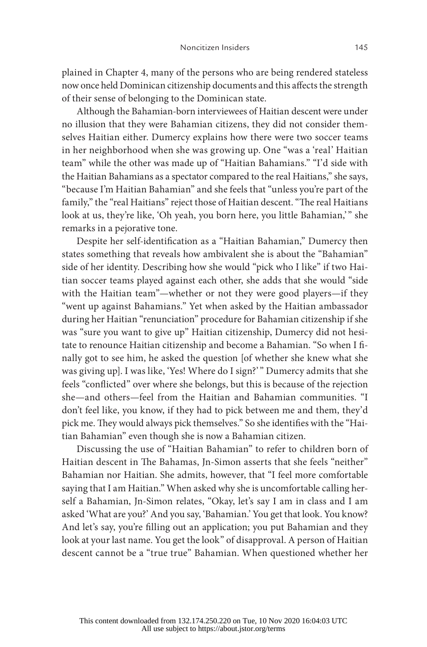plained in Chapter 4, many of the persons who are being rendered stateless now once held Dominican citizenship documents and this affects the strength of their sense of belonging to the Dominican state.

Although the Bahamian-born interviewees of Haitian descent were under no illusion that they were Bahamian citizens, they did not consider themselves Haitian either. Dumercy explains how there were two soccer teams in her neighborhood when she was growing up. One "was a 'real' Haitian team" while the other was made up of "Haitian Bahamians." "I'd side with the Haitian Bahamians as a spectator compared to the real Haitians," she says, "because I'm Haitian Bahamian" and she feels that "unless you're part of the family," the "real Haitians" reject those of Haitian descent. "The real Haitians look at us, they're like, 'Oh yeah, you born here, you little Bahamian,'" she remarks in a pejorative tone.

Despite her self-identification as a "Haitian Bahamian," Dumercy then states something that reveals how ambivalent she is about the "Bahamian" side of her identity. Describing how she would "pick who I like" if two Haitian soccer teams played against each other, she adds that she would "side with the Haitian team"—whether or not they were good players—if they "went up against Bahamians." Yet when asked by the Haitian ambassador during her Haitian "renunciation" procedure for Bahamian citizenship if she was "sure you want to give up" Haitian citizenship, Dumercy did not hesitate to renounce Haitian citizenship and become a Bahamian. "So when I finally got to see him, he asked the question [of whether she knew what she was giving up]. I was like, 'Yes! Where do I sign?' " Dumercy admits that she feels "conflicted" over where she belongs, but this is because of the rejection she—and others—feel from the Haitian and Bahamian communities. "I don't feel like, you know, if they had to pick between me and them, they'd pick me. They would always pick themselves." So she identifies with the "Haitian Bahamian" even though she is now a Bahamian citizen.

Discussing the use of "Haitian Bahamian" to refer to children born of Haitian descent in The Bahamas, Jn-Simon asserts that she feels "neither" Bahamian nor Haitian. She admits, however, that "I feel more comfortable saying that I am Haitian." When asked why she is uncomfortable calling herself a Bahamian, Jn-Simon relates, "Okay, let's say I am in class and I am asked 'What are you?' And you say, 'Bahamian.' You get that look. You know? And let's say, you're filling out an application; you put Bahamian and they look at your last name. You get the look" of disapproval. A person of Haitian descent cannot be a "true true" Bahamian. When questioned whether her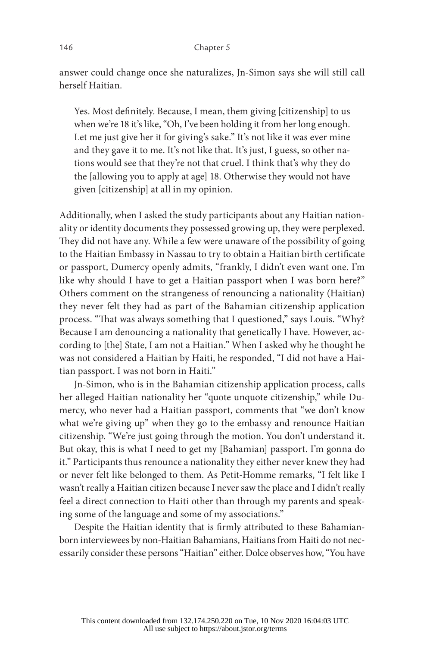answer could change once she naturalizes, Jn-Simon says she will still call herself Haitian.

Yes. Most definitely. Because, I mean, them giving [citizenship] to us when we're 18 it's like, "Oh, I've been holding it from her long enough. Let me just give her it for giving's sake." It's not like it was ever mine and they gave it to me. It's not like that. It's just, I guess, so other nations would see that they're not that cruel. I think that's why they do the [allowing you to apply at age] 18. Otherwise they would not have given [citizenship] at all in my opinion.

Additionally, when I asked the study participants about any Haitian nationality or identity documents they possessed growing up, they were perplexed. They did not have any. While a few were unaware of the possibility of going to the Haitian Embassy in Nassau to try to obtain a Haitian birth certificate or passport, Dumercy openly admits, "frankly, I didn't even want one. I'm like why should I have to get a Haitian passport when I was born here?" Others comment on the strangeness of renouncing a nationality (Haitian) they never felt they had as part of the Bahamian citizenship application process. "That was always something that I questioned," says Louis. "Why? Because I am denouncing a nationality that genetically I have. However, according to [the] State, I am not a Haitian." When I asked why he thought he was not considered a Haitian by Haiti, he responded, "I did not have a Haitian passport. I was not born in Haiti."

Jn-Simon, who is in the Bahamian citizenship application process, calls her alleged Haitian nationality her "quote unquote citizenship," while Dumercy, who never had a Haitian passport, comments that "we don't know what we're giving up" when they go to the embassy and renounce Haitian citizenship. "We're just going through the motion. You don't understand it. But okay, this is what I need to get my [Bahamian] passport. I'm gonna do it." Participants thus renounce a nationality they either never knew they had or never felt like belonged to them. As Petit-Homme remarks, "I felt like I wasn't really a Haitian citizen because I never saw the place and I didn't really feel a direct connection to Haiti other than through my parents and speaking some of the language and some of my associations."

Despite the Haitian identity that is firmly attributed to these Bahamianborn interviewees by non-Haitian Bahamians, Haitians from Haiti do not necessarily consider these persons "Haitian" either. Dolce observes how, "You have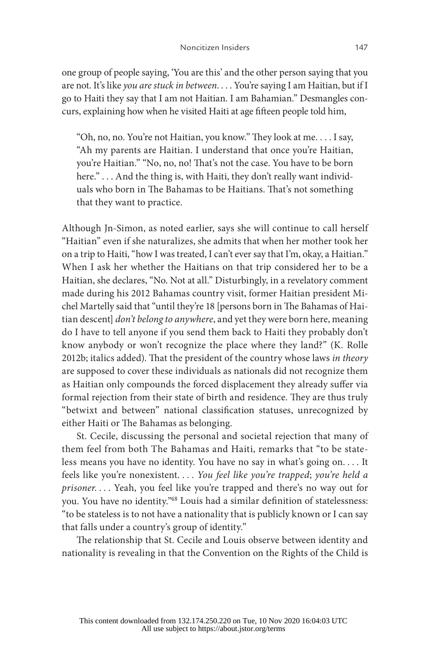one group of people saying, 'You are this' and the other person saying that you are not. It's like *you are stuck in between*. . . . You're saying I am Haitian, but if I go to Haiti they say that I am not Haitian. I am Bahamian." Desmangles concurs, explaining how when he visited Haiti at age fifteen people told him,

"Oh, no, no. You're not Haitian, you know." They look at me. . . . I say, "Ah my parents are Haitian. I understand that once you're Haitian, you're Haitian." "No, no, no! That's not the case. You have to be born here." . . . And the thing is, with Haiti, they don't really want individuals who born in The Bahamas to be Haitians. That's not something that they want to practice.

Although Jn-Simon, as noted earlier, says she will continue to call herself "Haitian" even if she naturalizes, she admits that when her mother took her on a trip to Haiti, "how I was treated, I can't ever say that I'm, okay, a Haitian." When I ask her whether the Haitians on that trip considered her to be a Haitian, she declares, "No. Not at all." Disturbingly, in a revelatory comment made during his 2012 Bahamas country visit, former Haitian president Michel Martelly said that "until they're 18 [persons born in The Bahamas of Haitian descent] *don't belong to anywhere*, and yet they were born here, meaning do I have to tell anyone if you send them back to Haiti they probably don't know anybody or won't recognize the place where they land?" (K. Rolle 2012b; italics added). That the president of the country whose laws *in theory* are supposed to cover these individuals as nationals did not recognize them as Haitian only compounds the forced displacement they already suffer via formal rejection from their state of birth and residence. They are thus truly "betwixt and between" national classification statuses, unrecognized by either Haiti or The Bahamas as belonging.

St. Cecile, discussing the personal and societal rejection that many of them feel from both The Bahamas and Haiti, remarks that "to be stateless means you have no identity. You have no say in what's going on. . . . It feels like you're nonexistent. . . . *You feel like you're trapped*; *you're held a prisoner*. . . . Yeah, you feel like you're trapped and there's no way out for you. You have no identity."48 Louis had a similar definition of statelessness: "to be stateless is to not have a nationality that is publicly known or I can say that falls under a country's group of identity."

The relationship that St. Cecile and Louis observe between identity and nationality is revealing in that the Convention on the Rights of the Child is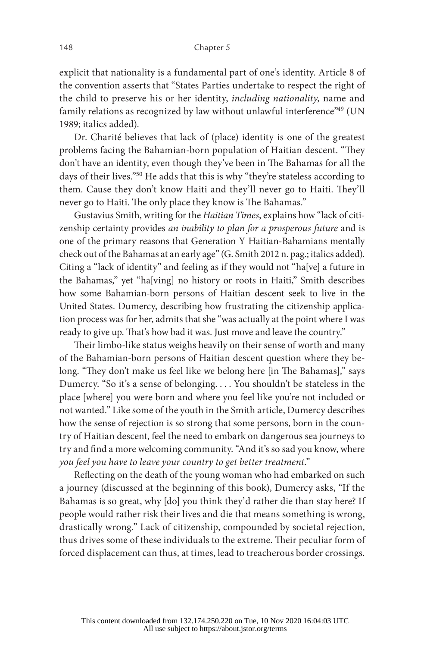explicit that nationality is a fundamental part of one's identity. Article 8 of the convention asserts that "States Parties undertake to respect the right of the child to preserve his or her identity, *including nationality*, name and family relations as recognized by law without unlawful interference"<sup>49</sup> (UN 1989; italics added).

Dr. Charité believes that lack of (place) identity is one of the greatest problems facing the Bahamian-born population of Haitian descent. "They don't have an identity, even though they've been in The Bahamas for all the days of their lives."50 He adds that this is why "they're stateless according to them. Cause they don't know Haiti and they'll never go to Haiti. They'll never go to Haiti. The only place they know is The Bahamas."

Gustavius Smith, writing for the *Haitian Times*, explains how "lack of citizenship certainty provides *an inability to plan for a prosperous future* and is one of the primary reasons that Generation Y Haitian-Bahamians mentally check out of the Bahamas at an early age" (G. Smith 2012 n. pag.; italics added). Citing a "lack of identity" and feeling as if they would not "ha[ve] a future in the Bahamas," yet "ha[ving] no history or roots in Haiti," Smith describes how some Bahamian-born persons of Haitian descent seek to live in the United States. Dumercy, describing how frustrating the citizenship application process was for her, admits that she "was actually at the point where I was ready to give up. That's how bad it was. Just move and leave the country."

Their limbo-like status weighs heavily on their sense of worth and many of the Bahamian-born persons of Haitian descent question where they belong. "They don't make us feel like we belong here [in The Bahamas]," says Dumercy. "So it's a sense of belonging. . . . You shouldn't be stateless in the place [where] you were born and where you feel like you're not included or not wanted." Like some of the youth in the Smith article, Dumercy describes how the sense of rejection is so strong that some persons, born in the country of Haitian descent, feel the need to embark on dangerous sea journeys to try and find a more welcoming community. "And it's so sad you know, where *you feel you have to leave your country to get better treatment*."

Reflecting on the death of the young woman who had embarked on such a journey (discussed at the beginning of this book), Dumercy asks, "If the Bahamas is so great, why [do] you think they'd rather die than stay here? If people would rather risk their lives and die that means something is wrong, drastically wrong." Lack of citizenship, compounded by societal rejection, thus drives some of these individuals to the extreme. Their peculiar form of forced displacement can thus, at times, lead to treacherous border crossings.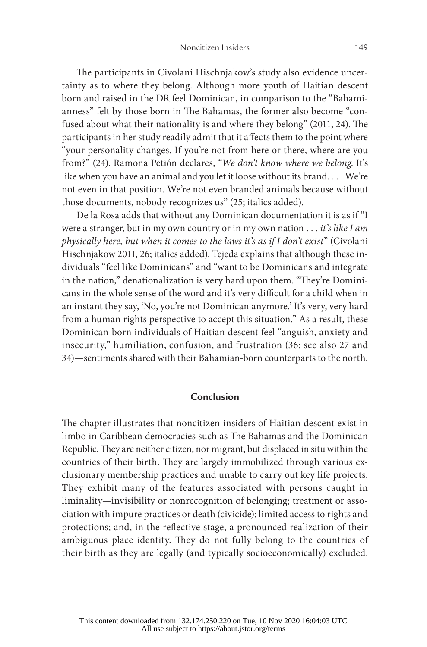The participants in Civolani Hischnjakow's study also evidence uncertainty as to where they belong. Although more youth of Haitian descent born and raised in the DR feel Dominican, in comparison to the "Bahamianness" felt by those born in The Bahamas, the former also become "confused about what their nationality is and where they belong" (2011, 24). The participants in her study readily admit that it affects them to the point where "your personality changes. If you're not from here or there, where are you from?" (24). Ramona Petión declares, "*We don't know where we belong*. It's like when you have an animal and you let it loose without its brand. . . . We're not even in that position. We're not even branded animals because without those documents, nobody recognizes us" (25; italics added).

De la Rosa adds that without any Dominican documentation it is as if "I were a stranger, but in my own country or in my own nation . . . *it's like I am physically here, but when it comes to the laws it's as if I don't exist*" (Civolani Hischnjakow 2011, 26; italics added). Tejeda explains that although these individuals "feel like Dominicans" and "want to be Dominicans and integrate in the nation," denationalization is very hard upon them. "They're Dominicans in the whole sense of the word and it's very difficult for a child when in an instant they say, 'No, you're not Dominican anymore.' It's very, very hard from a human rights perspective to accept this situation." As a result, these Dominican-born individuals of Haitian descent feel "anguish, anxiety and insecurity," humiliation, confusion, and frustration (36; see also 27 and 34)—sentiments shared with their Bahamian-born counterparts to the north.

#### **Conclusion**

The chapter illustrates that noncitizen insiders of Haitian descent exist in limbo in Caribbean democracies such as The Bahamas and the Dominican Republic. They are neither citizen, nor migrant, but displaced in situ within the countries of their birth. They are largely immobilized through various exclusionary membership practices and unable to carry out key life projects. They exhibit many of the features associated with persons caught in liminality—invisibility or nonrecognition of belonging; treatment or association with impure practices or death (civicide); limited access to rights and protections; and, in the reflective stage, a pronounced realization of their ambiguous place identity. They do not fully belong to the countries of their birth as they are legally (and typically socioeconomically) excluded.